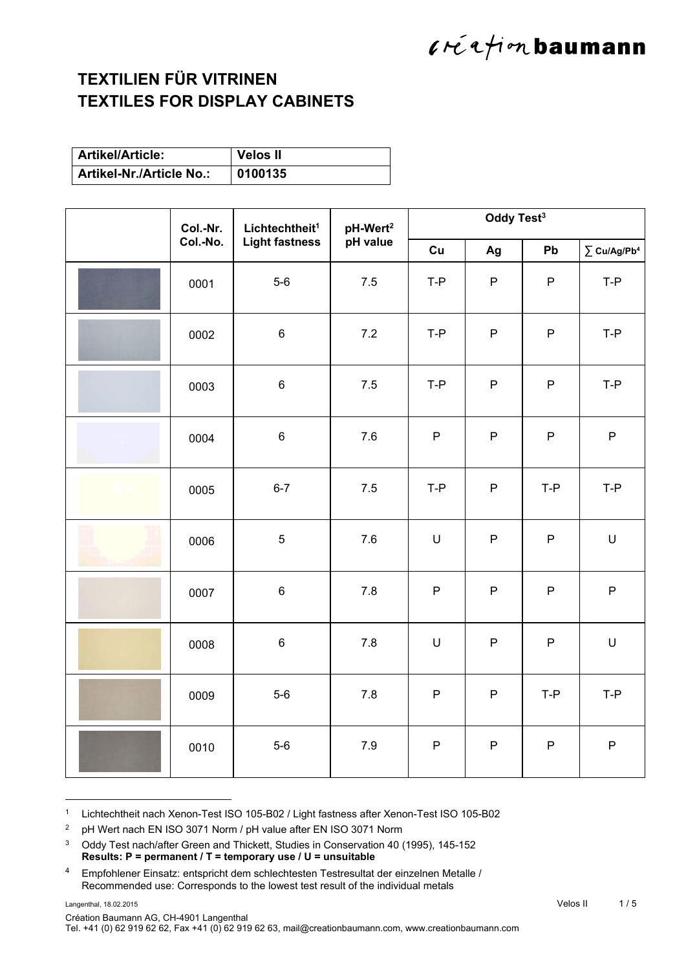### $l$ ré a fion baumann

#### **TEXTILIEN FÜR VITRINEN TEXTILES FOR DISPLAY CABINETS**

| <b>Artikel/Article:</b>         | <b>Velos II</b> |
|---------------------------------|-----------------|
| <b>Artikel-Nr./Article No.:</b> | 0100135         |

| Col.-Nr. | Lichtechtheit <sup>1</sup><br>Col.-No.<br><b>Light fastness</b> | pH-Wert <sup>2</sup> | Oddy Test <sup>3</sup> |              |              |                              |
|----------|-----------------------------------------------------------------|----------------------|------------------------|--------------|--------------|------------------------------|
|          |                                                                 | pH value             | Cu                     | Ag           | Pb           | $\sum$ Cu/Ag/Pb <sup>4</sup> |
| 0001     | $5-6$                                                           | 7.5                  | $T-P$                  | $\mathsf{P}$ | $\mathsf P$  | $T-P$                        |
| 0002     | $\,6\,$                                                         | 7.2                  | T-P                    | ${\sf P}$    | $\mathsf{P}$ | $T-P$                        |
| 0003     | $\,6$                                                           | 7.5                  | $T-P$                  | ${\sf P}$    | ${\sf P}$    | $T-P$                        |
| 0004     | $\,6$                                                           | 7.6                  | $\mathsf P$            | ${\sf P}$    | ${\sf P}$    | ${\sf P}$                    |
| 0005     | $6 - 7$                                                         | 7.5                  | $T-P$                  | ${\sf P}$    | $T-P$        | $T-P$                        |
| 0006     | $\sqrt{5}$                                                      | $7.6\,$              | $\mathsf U$            | $\mathsf{P}$ | $\mathsf{P}$ | U                            |
| 0007     | $\,6$                                                           | 7.8                  | $\mathsf P$            | $\mathsf{P}$ | $\mathsf P$  | $\mathsf{P}$                 |
| 0008     | $\,6$                                                           | $7.8$                | $\sf U$                | P            | $\sf P$      | $\sf U$                      |
| 0009     | $5-6$                                                           | 7.8                  | $\mathsf{P}$           | $\mathsf{P}$ | T-P          | $T-P$                        |
| 0010     | $5-6$                                                           | 7.9                  | ${\sf P}$              | P            | ${\sf P}$    | P                            |

1 Lichtechtheit nach Xenon-Test ISO 105-B02 / Light fastness after Xenon-Test ISO 105-B02

2 pH Wert nach EN ISO 3071 Norm / pH value after EN ISO 3071 Norm

<sup>3</sup> Oddy Test nach/after Green and Thickett, Studies in Conservation 40 (1995), 145-152 **Results: P = permanent / T = temporary use / U = unsuitable**

<sup>4</sup> Empfohlener Einsatz: entspricht dem schlechtesten Testresultat der einzelnen Metalle / Recommended use: Corresponds to the lowest test result of the individual metals

l

Création Baumann AG, CH-4901 Langenthal

Tel. +41 (0) 62 919 62 62, Fax +41 (0) 62 919 62 63, mail@creationbaumann.com, www.creationbaumann.com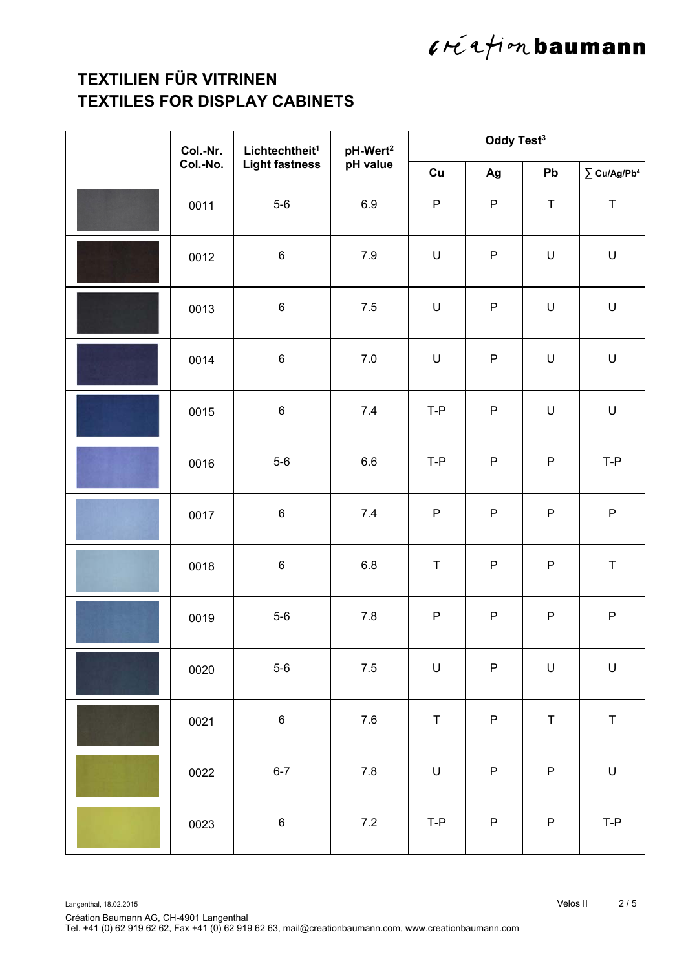# $l$ réafion baumann

### **TEXTILIEN FÜR VITRINEN TEXTILES FOR DISPLAY CABINETS**

| Col.-Nr. | Lichtechtheit <sup>1</sup><br><b>Light fastness</b> | pH-Wert <sup>2</sup><br>pH value | Oddy Test <sup>3</sup> |             |             |                                                                                                            |  |
|----------|-----------------------------------------------------|----------------------------------|------------------------|-------------|-------------|------------------------------------------------------------------------------------------------------------|--|
| Col.-No. |                                                     |                                  | Cu                     | Ag          | Pb          | $\sum$ Cu/Ag/Pb <sup>4</sup>                                                                               |  |
| 0011     | $5-6$                                               | $6.9\,$                          | $\mathsf P$            | $\mathsf P$ | $\mathsf T$ | $\sf T$                                                                                                    |  |
| 0012     | $\,6\,$                                             | 7.9                              | U                      | ${\sf P}$   | $\mathsf U$ | $\sf U$                                                                                                    |  |
| 0013     | $\,6\,$                                             | $7.5\,$                          | $\sf U$                | $\sf P$     | $\mathsf U$ | $\sf U$                                                                                                    |  |
| 0014     | $\,6\,$                                             | $7.0\,$                          | U                      | $\sf P$     | $\mathsf U$ | $\sf U$                                                                                                    |  |
| 0015     | $\,6\,$                                             | $7.4$                            | $T-P$                  | $\sf P$     | $\cup$      | $\mathsf{U}% _{T}=\mathsf{U}_{T}\!\left( a,b\right) ,\ \mathsf{U}_{T}=\mathsf{U}_{T}\!\left( a,b\right) ,$ |  |
| 0016     | $5-6$                                               | 6.6                              | $T-P$                  | ${\sf P}$   | P           | T-P                                                                                                        |  |
| 0017     | $\,6\,$                                             | 7.4                              | ${\sf P}$              | ${\sf P}$   | ${\sf P}$   | ${\sf P}$                                                                                                  |  |
| 0018     | $\,6\,$                                             | 6.8                              | $\sf T$                | ${\sf P}$   | P           | $\mathsf T$                                                                                                |  |
| 0019     | $5-6$                                               | $7.8$                            | ${\sf P}$              | ${\sf P}$   | ${\sf P}$   | ${\sf P}$                                                                                                  |  |
| 0020     | $5-6$                                               | $7.5\,$                          | $\sf U$                | $\sf P$     | $\sf U$     | $\sf U$                                                                                                    |  |
| 0021     | $\,6\,$                                             | $7.6\,$                          | $\sf T$                | ${\sf P}$   | $\top$      | $\sf T$                                                                                                    |  |
| 0022     | $6 - 7$                                             | $7.8\,$                          | $\mathsf U$            | $\sf P$     | $\mathsf P$ | $\mathsf{U}% _{T}=\mathsf{U}_{T}\!\left( a,b\right) ,\ \mathsf{U}_{T}=\mathsf{U}_{T}\!\left( a,b\right) ,$ |  |
| 0023     | $\,6$                                               | $7.2\,$                          | T-P                    | ${\sf P}$   | ${\sf P}$   | $T-P$                                                                                                      |  |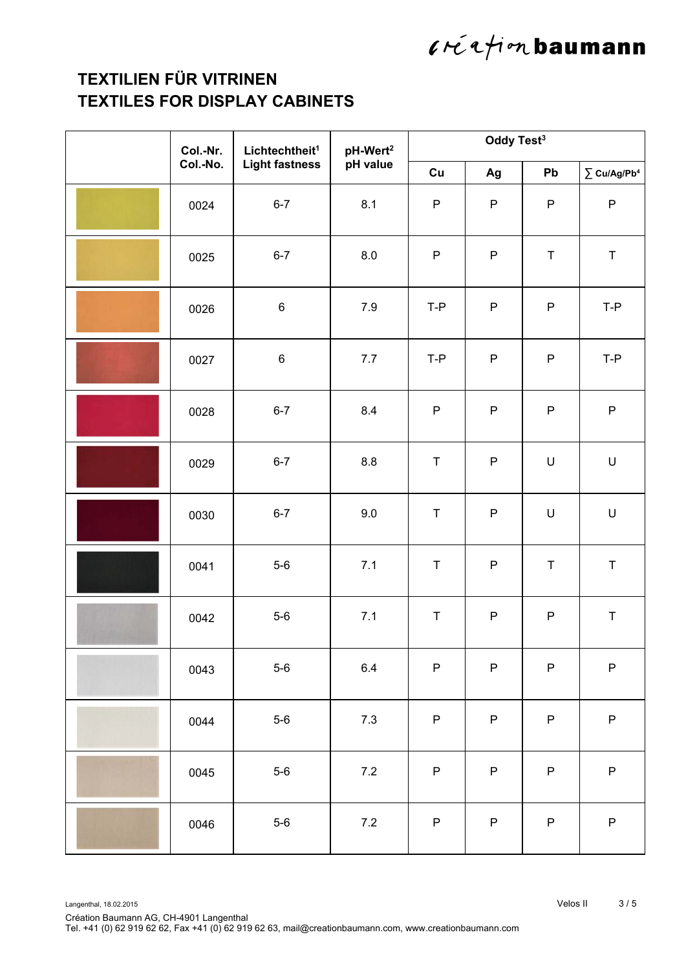# $l$ réafion baumann

### **TEXTILIEN FÜR VITRINEN TEXTILES FOR DISPLAY CABINETS**

| Col.-Nr. | Lichtechtheit <sup>1</sup><br><b>Light fastness</b> | pH-Wert <sup>2</sup><br>pH value | Oddy Test <sup>3</sup> |           |             |                                                                                                            |  |
|----------|-----------------------------------------------------|----------------------------------|------------------------|-----------|-------------|------------------------------------------------------------------------------------------------------------|--|
| Col.-No. |                                                     |                                  | Cu                     | Ag        | Pb          | $\sum$ Cu/Ag/Pb <sup>4</sup>                                                                               |  |
| 0024     | $6 - 7$                                             | 8.1                              | $\mathsf P$            | ${\sf P}$ | P           | $\sf P$                                                                                                    |  |
| 0025     | $6 - 7$                                             | 8.0                              | $\mathsf P$            | ${\sf P}$ | $\top$      | $\sf T$                                                                                                    |  |
| 0026     | $\,6\,$                                             | $7.9$                            | $T-P$                  | ${\sf P}$ | ${\sf P}$   | $T-P$                                                                                                      |  |
| 0027     | $\,6\,$                                             | 7.7                              | T-P                    | ${\sf P}$ | P           | $T-P$                                                                                                      |  |
| 0028     | $6 - 7$                                             | 8.4                              | $\sf P$                | ${\sf P}$ | ${\sf P}$   | $\sf P$                                                                                                    |  |
| 0029     | $6 - 7$                                             | 8.8                              | $\mathsf T$            | ${\sf P}$ | $\mathsf U$ | $\mathsf{U}% _{T}=\mathsf{U}_{T}\!\left( a,b\right) ,\ \mathsf{U}_{T}=\mathsf{U}_{T}\!\left( a,b\right) ,$ |  |
| 0030     | $6 - 7$                                             | 9.0                              | $\sf T$                | ${\sf P}$ | U           | $\sf U$                                                                                                    |  |
| 0041     | $5-6$                                               | 7.1                              | $\sf T$                | ${\sf P}$ | $\top$      | $\sf T$                                                                                                    |  |
| 0042     | $5-6$                                               | 7.1                              | $\sf T$                | ${\sf P}$ | ${\sf P}$   | $\sf T$                                                                                                    |  |
| 0043     | $5-6$                                               | $6.4\,$                          | ${\sf P}$              | $\sf P$   | ${\sf P}$   | ${\sf P}$                                                                                                  |  |
| 0044     | $5-6$                                               | $7.3$                            | $\mathsf P$            | ${\sf P}$ | P           | ${\sf P}$                                                                                                  |  |
| 0045     | $5-6$                                               | $7.2\,$                          | ${\sf P}$              | ${\sf P}$ | ${\sf P}$   | ${\sf P}$                                                                                                  |  |
| 0046     | $5-6$                                               | $7.2\,$                          | $\mathsf{P}$           | $\sf P$   | ${\sf P}$   | ${\sf P}$                                                                                                  |  |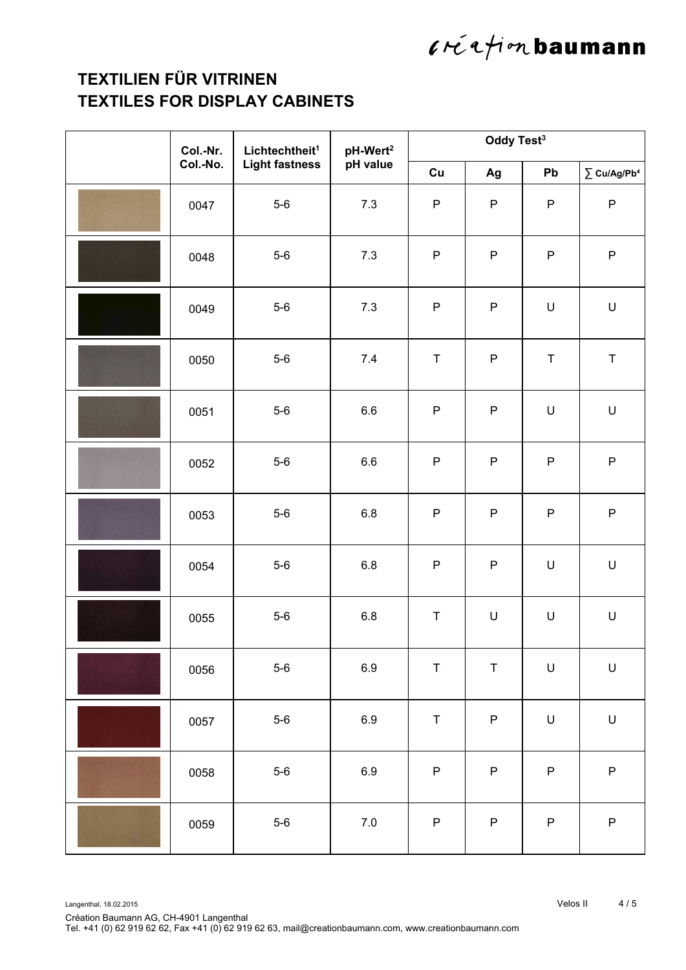# $l$ réafion baumann

### **TEXTILIEN FÜR VITRINEN TEXTILES FOR DISPLAY CABINETS**

| Col.-Nr. | Lichtechtheit <sup>1</sup><br><b>Light fastness</b> | pH-Wert <sup>2</sup><br>pH value | Oddy Test <sup>3</sup> |             |             |                                                                                                            |  |
|----------|-----------------------------------------------------|----------------------------------|------------------------|-------------|-------------|------------------------------------------------------------------------------------------------------------|--|
| Col.-No. |                                                     |                                  | Cu                     | Ag          | Pb          | $\sum$ Cu/Ag/Pb <sup>4</sup>                                                                               |  |
| 0047     | $5-6$                                               | 7.3                              | $\mathsf P$            | $\sf P$     | P           | ${\sf P}$                                                                                                  |  |
| 0048     | $5-6$                                               | 7.3                              | $\mathsf P$            | ${\sf P}$   | P           | ${\sf P}$                                                                                                  |  |
| 0049     | $5-6$                                               | 7.3                              | $\mathsf P$            | $\sf P$     | $\mathsf U$ | $\sf U$                                                                                                    |  |
| 0050     | $5-6$                                               | 7.4                              | $\top$                 | ${\sf P}$   | $\top$      | $\sf T$                                                                                                    |  |
| 0051     | $5-6$                                               | 6.6                              | $\sf P$                | $\mathsf P$ | $\cup$      | $\mathsf{U}% _{T}=\mathsf{U}_{T}\!\left( a,b\right) ,\ \mathsf{U}_{T}=\mathsf{U}_{T}\!\left( a,b\right) ,$ |  |
| 0052     | $5-6$                                               | 6.6                              | $\sf P$                | ${\sf P}$   | P           | $\sf P$                                                                                                    |  |
| 0053     | $5-6$                                               | $6.8\,$                          | ${\sf P}$              | ${\sf P}$   | ${\sf P}$   | ${\sf P}$                                                                                                  |  |
| 0054     | $5-6$                                               | 6.8                              | $\sf P$                | ${\sf P}$   | $\mathsf U$ | $\sf U$                                                                                                    |  |
| 0055     | $5-6$                                               | $6.8\,$                          | $\sf T$                | U           | $\mathsf U$ | $\sf U$                                                                                                    |  |
| 0056     | $5-6$                                               | $6.9\,$                          | $\mathsf T$            | $\sf T$     | $\sf U$     | $\mathsf{U}% _{T}=\mathsf{U}_{T}\!\left( a,b\right) ,\ \mathsf{U}_{T}=\mathsf{U}_{T}\!\left( a,b\right) ,$ |  |
| 0057     | $5-6$                                               | $6.9\,$                          | $\sf T$                | ${\sf P}$   | $\mathsf U$ | $\sf U$                                                                                                    |  |
| 0058     | $5-6$                                               | $6.9\,$                          | ${\sf P}$              | ${\sf P}$   | P           | ${\sf P}$                                                                                                  |  |
| 0059     | $5-6$                                               | $7.0\,$                          | ${\sf P}$              | ${\sf P}$   | ${\sf P}$   | ${\sf P}$                                                                                                  |  |